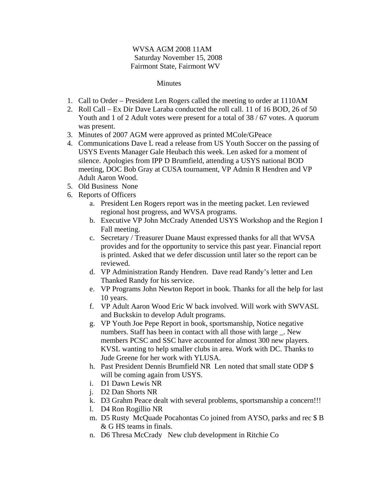## WVSA AGM 2008 11AM Saturday November 15, 2008 Fairmont State, Fairmont WV

## **Minutes**

- 1. Call to Order President Len Rogers called the meeting to order at 1110AM
- 2. Roll Call Ex Dir Dave Laraba conducted the roll call. 11 of 16 BOD, 26 of 50 Youth and 1 of 2 Adult votes were present for a total of 38 / 67 votes. A quorum was present.
- 3. Minutes of 2007 AGM were approved as printed MCole/GPeace
- 4. Communications Dave L read a release from US Youth Soccer on the passing of USYS Events Manager Gale Heubach this week. Len asked for a moment of silence. Apologies from IPP D Brumfield, attending a USYS national BOD meeting, DOC Bob Gray at CUSA tournament, VP Admin R Hendren and VP Adult Aaron Wood.
- 5. Old Business None
- 6. Reports of Officers
	- a. President Len Rogers report was in the meeting packet. Len reviewed regional host progress, and WVSA programs.
	- b. Executive VP John McCrady Attended USYS Workshop and the Region I Fall meeting.
	- c. Secretary / Treasurer Duane Maust expressed thanks for all that WVSA provides and for the opportunity to service this past year. Financial report is printed. Asked that we defer discussion until later so the report can be reviewed.
	- d. VP Administration Randy Hendren. Dave read Randy's letter and Len Thanked Randy for his service.
	- e. VP Programs John Newton Report in book. Thanks for all the help for last 10 years.
	- f. VP Adult Aaron Wood Eric W back involved. Will work with SWVASL and Buckskin to develop Adult programs.
	- g. VP Youth Joe Pepe Report in book, sportsmanship, Notice negative numbers. Staff has been in contact with all those with large . New members PCSC and SSC have accounted for almost 300 new players. KVSL wanting to help smaller clubs in area. Work with DC. Thanks to Jude Greene for her work with YLUSA.
	- h. Past President Dennis Brumfield NR Len noted that small state ODP \$ will be coming again from USYS.
	- i. D1 Dawn Lewis NR
	- j. D2 Dan Shorts NR
	- k. D3 Grahm Peace dealt with several problems, sportsmanship a concern!!!
	- l. D4 Ron Rogillio NR
	- m. D5 Rusty McQuade Pocahontas Co joined from AYSO, parks and rec \$ B & G HS teams in finals.
	- n. D6 Thresa McCrady New club development in Ritchie Co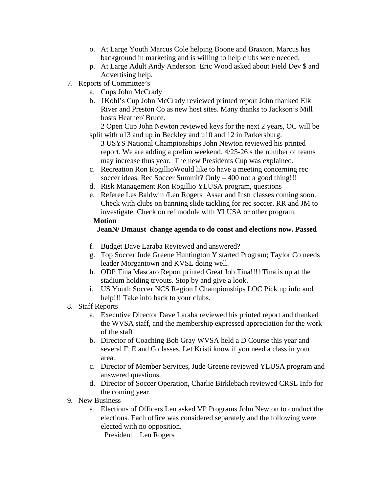- o. At Large Youth Marcus Cole helping Boone and Braxton. Marcus has background in marketing and is willing to help clubs were needed.
- p. At Large Adult Andy Anderson Eric Wood asked about Field Dev \$ and Advertising help.
- 7. Reports of Committee's
	- a. Cups John McCrady
	- b. 1Kohl's Cup John McCrady reviewed printed report John thanked Elk River and Preston Co as new host sites. Many thanks to Jackson's Mill hosts Heather/ Bruce.

 2 Open Cup John Newton reviewed keys for the next 2 years, OC will be split with u13 and up in Beckley and u10 and 12 in Parkersburg.

3 USYS National Championships John Newton reviewed his printed report. We are adding a prelim weekend. 4/25-26 s the number of teams may increase thus year. The new Presidents Cup was explained.

- c. Recreation Ron RogillioWould like to have a meeting concerning rec soccer ideas. Rec Soccer Summit? Only – 400 not a good thing!!!
- d. Risk Management Ron Rogillio YLUSA program, questions
- e. Referee Les Baldwin /Len Rogers Asser and Instr classes coming soon. Check with clubs on banning slide tackling for rec soccer. RR and JM to investigate. Check on ref module with YLUSA or other program.

## **Motion**

## **JeanN/ Dmaust change agenda to do const and elections now. Passed**

- f. Budget Dave Laraba Reviewed and answered?
- g. Top Soccer Jude Greene Huntington Y started Program; Taylor Co needs leader Morgantown and KVSL doing well.
- h. ODP Tina Mascaro Report printed Great Job Tina!!!! Tina is up at the stadium holding tryouts. Stop by and give a look.
- i. US Youth Soccer NCS Region I Championships LOC Pick up info and help!!! Take info back to your clubs.
- 8. Staff Reports
	- a. Executive Director Dave Laraba reviewed his printed report and thanked the WVSA staff, and the membership expressed appreciation for the work of the staff.
	- b. Director of Coaching Bob Gray WVSA held a D Course this year and several F, E and G classes. Let Kristi know if you need a class in your area.
	- c. Director of Member Services, Jude Greene reviewed YLUSA program and answered questions.
	- d. Director of Soccer Operation, Charlie Birklebach reviewed CRSL Info for the coming year.
- 9. New Business
	- a. Elections of Officers Len asked VP Programs John Newton to conduct the elections. Each office was considered separately and the following were elected with no opposition.

President Len Rogers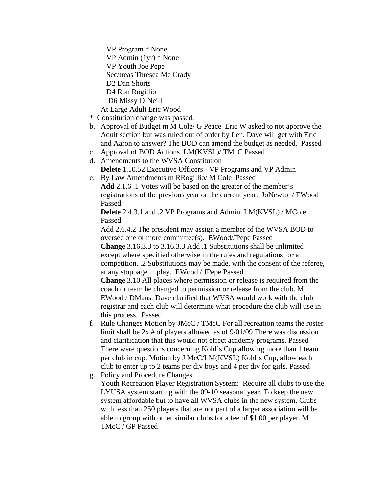VP Program \* None VP Admin (1yr) \* None VP Youth Joe Pepe Sec/treas Thresea Mc Crady D<sub>2</sub> Dan Shorts D4 Ron Rogillio D6 Missy O'Neill

At Large Adult Eric Wood

- \* Constitution change was passed.
- b. Approval of Budget m M Cole/ G Peace Eric W asked to not approve the Adult section but was ruled out of order by Len. Dave will get with Eric and Aaron to answer? The BOD can amend the budget as needed. Passed
- c. Approval of BOD Actions LM(KVSL)/ TMcC Passed
- d. Amendments to the WVSA Constitution **Delete** 1.10.52 Executive Officers - VP Programs and VP Admin
- e. By Law Amendments m RRogillio/ M Cole Passed **Add** 2.1.6 .1 Votes will be based on the greater of the member's registrations of the previous year or the current year. JoNewton/ EWood Passed

**Delete** 2.4.3.1 and .2 VP Programs and Admin LM(KVSL) / MCole Passed

Add 2.6.4.2 The president may assign a member of the WVSA BOD to oversee one or more committee(s). EWood/JPepe Passed **Change** 3.16.3.3 to 3.16.3.3 Add .1 Substitutions shall be unlimited except where specified otherwise in the rules and regulations for a competition. .2 Substitutions may be made, with the consent of the referee, at any stoppage in play. EWood / JPepe Passed

**Change** 3.10 All places where permission or release is required from the coach or team be changed to permission or release from the club. M EWood / DMaust Dave clarified that WVSA would work with the club registrar and each club will determine what procedure the club will use in this process. Passed

- f. Rule Changes Motion by JMcC / TMcC For all recreation teams the roster limit shall be  $2x \#$  of players allowed as of  $9/01/09$  There was discussion and clarification that this would not effect academy programs. Passed There were questions concerning Kohl's Cup allowing more than 1 team per club in cup. Motion by J McC/LM(KVSL) Kohl's Cup, allow each club to enter up to 2 teams per div boys and 4 per div for girls. Passed
- g. Policy and Procedure Changes

Youth Recreation Player Registration System: Require all clubs to use the LYUSA system starting with the 09-10 seasonal year. To keep the new system affordable but to have all WVSA clubs in the new system, Clubs with less than 250 players that are not part of a larger association will be able to group with other similar clubs for a fee of \$1.00 per player. M TMcC / GP Passed